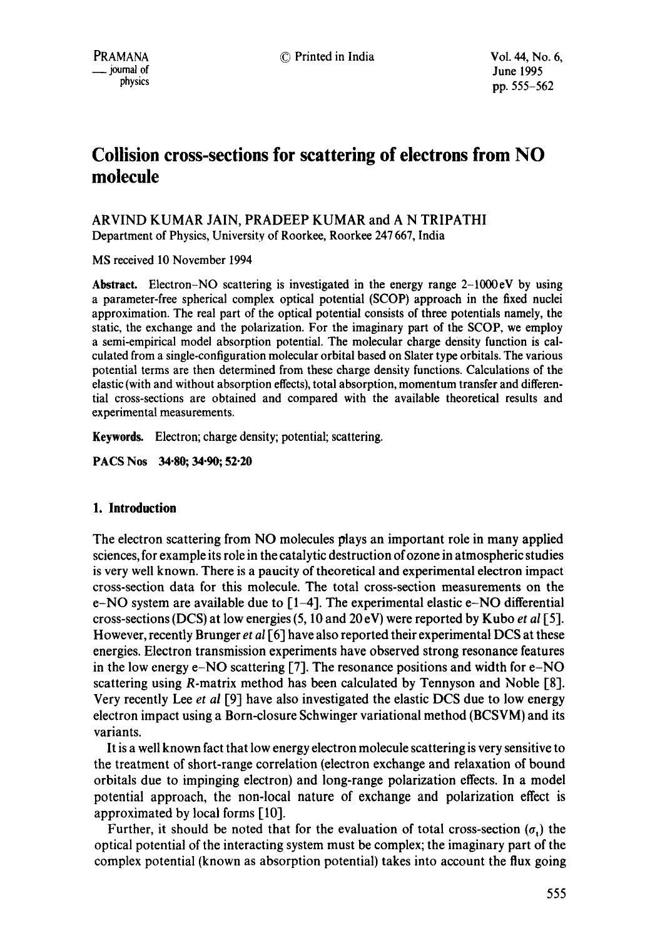# **Collision cross-sections for scattering of electrons from NO molecule**

## ARVIND KUMAR JAIN, PRADEEP KUMAR and A N TRIPATHI Department of Physics, University of Roorkee, Roorkee 247 667, India

MS received 10 November 1994

**Abstract.** Electron-NO scattering is investigated in the energy range 2-1000eV by using a parameter-free spherical complex optical potential (SCOP) approach in the fixed nuclei approximation. The real part of the optical potential consists of three potentials namely, the static, the exchange and the polarization. For the imaginary part of the SCOP, we employ a semi-empirical model absorption potential. The molecular charge density function is calculated from a single-configuration molecular orbital based on Slater type orbitals. The various potential terms are then determined from these charge density functions. Calculations of the elastic (with and without absorption effects), total absorption, momentum transfer and differential cross-sections are obtained and compared with the available theoretical results and experimental measurements.

**Keywords.** Electron; charge density; potential; scattering.

**PACS Nos 34"80; 34-90; 52-20** 

## **1. Introduction**

The electron scattering from NO molecules plays an important role in many applied sciences, for example its role in the catalytic destruction of ozone in atmospheric studies is very well known. There is a paucity of theoretical and experimental electron impact cross-section data for this molecule. The total cross-section measurements on the e-NO system are available due to  $[1-4]$ . The experimental elastic e-NO differential cross-sections (DCS) at low energies (5, 10 and 20 eV) were reported by Kubo *et al* [5]. However, recently Brunger *et al* [6] have also reported their experimental DCS at these energies. Electron transmission experiments have observed strong resonance features in the low energy e-NO scattering [7]. The resonance positions and width for e-NO scattering using R-matrix method has been calculated by Tennyson and Noble [8]. Very recently Lee *et al* [9] have also investigated the elastic DCS due to low energy electron impact using a Born-closure Schwinger variational method (BCSVM) and its variants.

It is a well known fact that low energy electron molecule scattering is very sensitive to the treatment of short-range correlation (electron exchange and relaxation of bound orbitals due to impinging electron) and long-range polarization effects. In a model potential approach, the non-local nature of exchange and polarization effect is approximated by local forms [10].

Further, it should be noted that for the evaluation of total cross-section  $(\sigma_1)$  the optical potential of the interacting system must be complex; the imaginary part of the complex potential (known as absorption potential) takes into account the flux going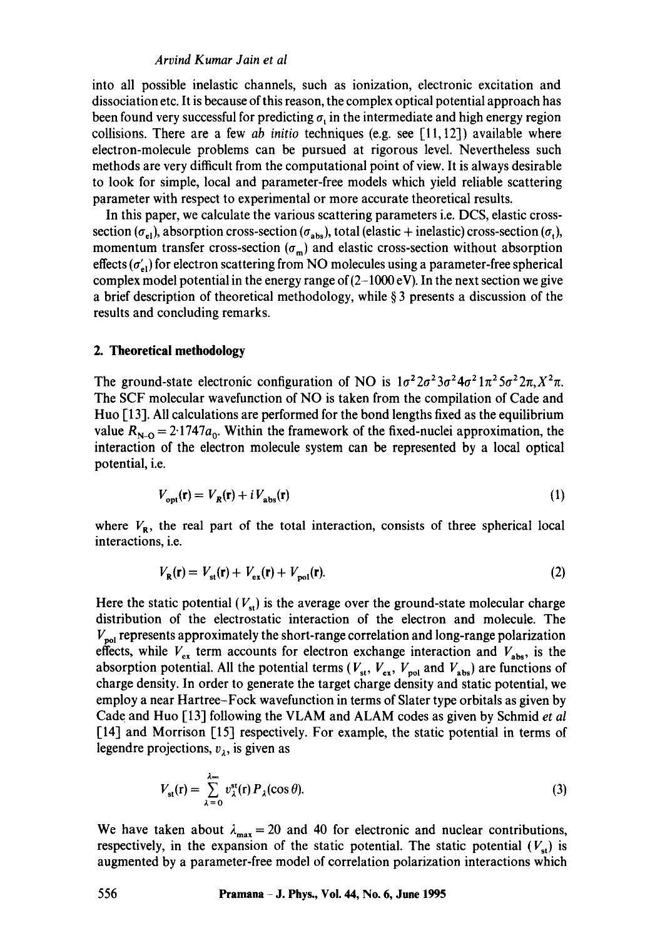#### *Arvind Kumar Jain et al*

into all possible inelastic channels, such as ionization, electronic excitation and dissociation etc. It is because of this reason, the complex optical potential approach has been found very successful for predicting  $\sigma$ , in the intermediate and high energy region collisions. There are a few *ab initio* techniques (e.g. see [11, 12]) available where electron-molecule problems can be pursued at rigorous level. Nevertheless such methods are very difficult from the computational point of view. It is always desirable to look for simple, local and parameter-free models which yield reliable scattering parameter with respect to experimental or more accurate theoretical results.

In this paper, we calculate the various scattering parameters i.e. DCS, elastic crosssection ( $\sigma_{el}$ ), absorption cross-section ( $\sigma_{abs}$ ), total (elastic + inelastic) cross-section ( $\sigma_t$ ), momentum transfer cross-section  $(\sigma_m)$  and elastic cross-section without absorption effects  $(\sigma'_{n})$  for electron scattering from NO molecules using a parameter-free spherical complex model potential in the energy range of  $(2-1000 \text{ eV})$ . In the next section we give a brief description of theoretical methodology, while  $\S$  3 presents a discussion of the results and concluding remarks.

#### **2. Theoretical methodology**

The ground-state electronic configuration of NO is  $1\sigma^2 2\sigma^2 3\sigma^2 4\sigma^2 1\pi^2 5\sigma^2 2\pi$ ,  $X^2\pi$ . The SCF molecular wavefunction of NO is taken from the compilation of Cade and Huo [ 13]. All calculations are performed for the bond lengths fixed as the equilibrium value  $R_{N-O} = 2.1747a_0$ . Within the framework of the fixed-nuclei approximation, the interaction of the electron molecule system can be represented by a local optical potential, i.e.

$$
V_{\text{opt}}(\mathbf{r}) = V_R(\mathbf{r}) + i V_{\text{abs}}(\mathbf{r})
$$
\n<sup>(1)</sup>

where  $V_{\rm R}$ , the real part of the total interaction, consists of three spherical local interactions, i.e.

$$
V_{\mathbf{R}}(\mathbf{r}) = V_{\text{st}}(\mathbf{r}) + V_{\text{ex}}(\mathbf{r}) + V_{\text{pol}}(\mathbf{r}).
$$
\n(2)

Here the static potential  $(V_{st})$  is the average over the ground-state molecular charge distribution of the electrostatic interaction of the electron and molecule. The  $V_{\rm{pol}}$  represents approximately the short-range correlation and long-range polarization effects, while  $V_{ex}$  term accounts for electron exchange interaction and  $V_{abs}$ , is the absorption potential. All the potential terms ( $V_{st}$ ,  $V_{ex}$ ,  $V_{pol}$  and  $V_{abs}$ ) are functions of charge density. In order to generate the target charge density and static potential, we employ a near Hartree-Fock wavefunction in terms of Slater type orbitals as given by Cade and Huo [13] following the VLAM and ALAM codes as given by Schmid *et al*  [14] and Morrison [15] respectively. For example, the static potential in terms of legendre projections,  $v<sub>1</sub>$ , is given as

$$
V_{\text{st}}(\mathbf{r}) = \sum_{\lambda=0}^{\lambda=1} v_{\lambda}^{\text{st}}(\mathbf{r}) P_{\lambda}(\cos \theta). \tag{3}
$$

We have taken about  $\lambda_{\text{max}} = 20$  and 40 for electronic and nuclear contributions, respectively, in the expansion of the static potential. The static potential  $(V_{st})$  is augmented by a parameter-free model of correlation polarization interactions which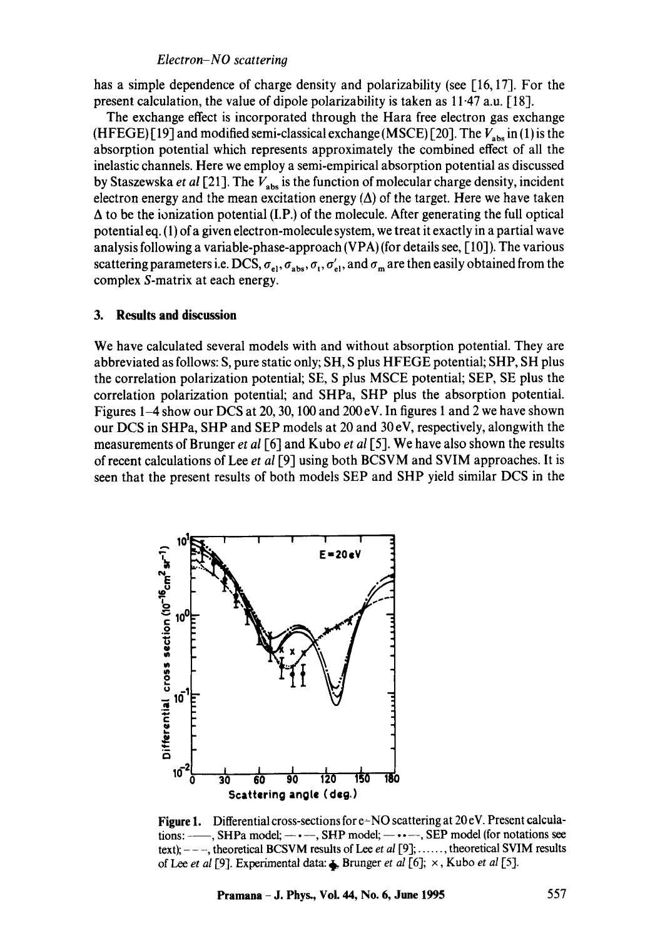#### *Electron-NO scattering*

has a simple dependence of charge density and polarizability (see [16, 17]. For the present calculation, the value of dipole polarizability is taken as 11-47 a.u. [18].

The exchange effect is incorporated through the Hara free electron gas exchange (HFEGE) [19] and modified semi-classical exchange (MSCE) [20]. The  $V_{\text{abs}}$  in (1) is the absorption potential which represents approximately the combined effect of all the inelastic channels. Here we employ a semi-empirical absorption potential as discussed by Staszewska *et al* [21]. The  $V_{\text{abs}}$  is the function of molecular charge density, incident electron energy and the mean excitation energy  $(\Delta)$  of the target. Here we have taken  $\Delta$  to be the ionization potential (I.P.) of the molecule. After generating the full optical potential eq. (1) of a given electron-molecule system, we treat it exactly in a partial wave analysis following a variable-phase-approach (VPA) (for details see, [ 10]). The various scattering parameters i.e. DCS,  $\sigma_{el}$ ,  $\sigma_{abs}$ ,  $\sigma_t$ ,  $\sigma'_{el}$ , and  $\sigma_m$  are then easily obtained from the complex S-matrix at each energy.

#### **3. Results and discussion**

We have calculated several models with and without absorption potential. They are abbreviated as follows: S, pure static only; SH, S plus HFEGE potential; SHP, SH plus the correlation polarization potential; SE, S plus MSCE potential; SEP, SE plus the correlation polarization potential; and SHPa, SHP plus the absorption potential. Figures 1-4 show our DCS at 20, 30, 100 and 200eV. In figures 1 and 2 we have shown our DCS in SHPa, SHP and SEP models at 20 and 30 eV, respectively, alongwith the measurements of Brunger *et al* [6] and Kubo *et al* [5]. We have also shown the results of recent calculations of Lee *et al* [9] using both BCSVM and SVIM approaches. It is seen that the present results of both models SEP and SHP yield similar DCS in the



**Figure** 1. Differential cross-sections for e~NO scattering at 20 eV. Present calculations:  $\longrightarrow$ , SHPa model;  $\longrightarrow$   $\longrightarrow$ , SHP model;  $\longrightarrow$   $\longrightarrow$ , SEP model (for notations see text);  $---$ , theoretical BCSVM results of Lee *et al* [9]; ......, theoretical SVIM results of lee *et al* [9]. Experimental data: ~ Brunger *et al* [6]; ×, Kubo *et al* [5].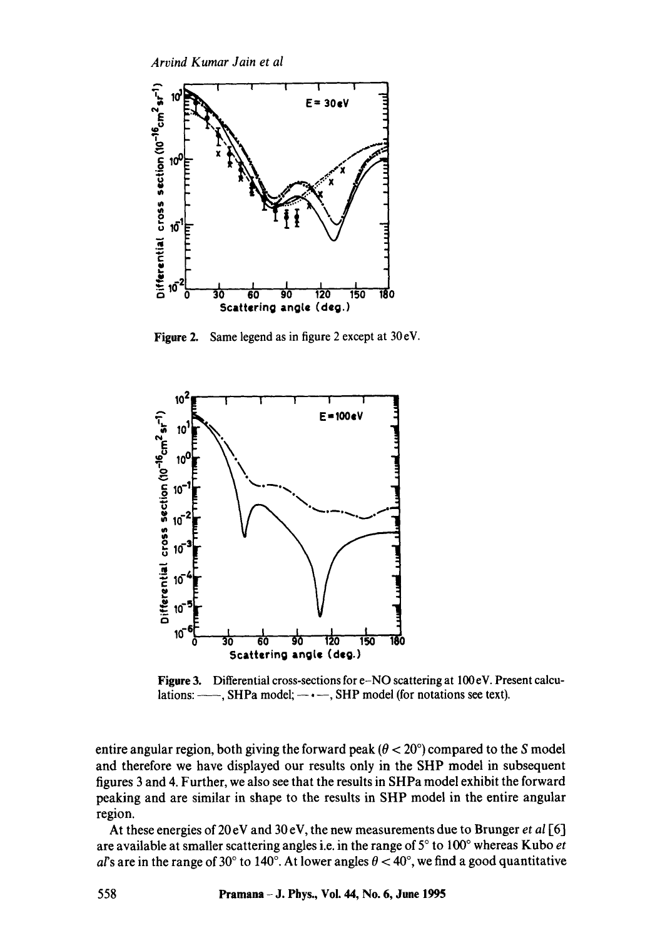*Arvind Kumar Jain et al* 



Figure 2. Same legend as in figure 2 except at 30 eV.



Figure 3. Differential cross-sections for e-NO scattering at 100eV. Present calculations:  $-\rightarrow$ , SHPa model;  $-\rightarrow$ , SHP model (for notations see text).

entire angular region, both giving the forward peak ( $\theta < 20^{\circ}$ ) compared to the S model and therefore we have displayed our results only in the SHP model in subsequent figures 3 and 4. Further, we also see that the results in SHPa model exhibit the forward peaking and are similar in shape to the results in SHP model in the entire angular region.

At these energies of 20 eV and 30 eV, the new measurements due to Brunger *et al* [6] are available at smaller scattering angles i.e. in the range of 5° to 100° whereas Kubo *et* al's are in the range of 30° to 140°. At lower angles  $\theta < 40$ °, we find a good quantitative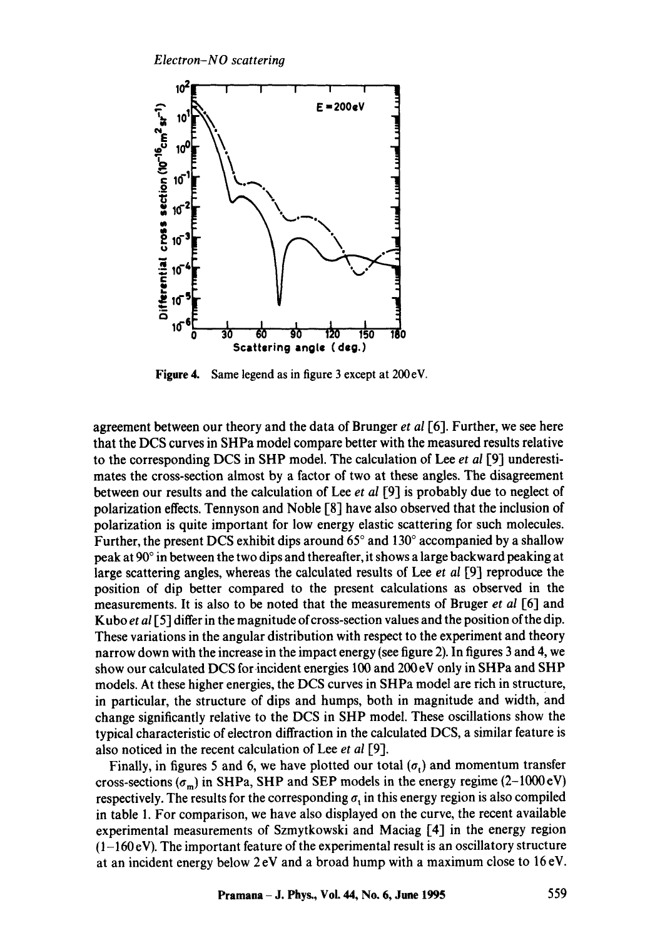

**Figure** 4. Same legend as in figure 3 except at 200eV.

agreement between our theory and the data of Brunger *et al* [6]. Further, we see here that the DCS curves in SHPa model compare better with the measured results relative to the corresponding DCS in SHP model. The calculation of Lee *et al* [9] underestimates the cross-section almost by a factor of two at these angles. The disagreement between our results and the calculation of Lee *et al* [9] is probably due to neglect of polarization effects. Tennyson and Noble [8] have also observed that the inclusion of polarization is quite important for low energy elastic scattering for such molecules. Further, the present DCS exhibit dips around  $65^\circ$  and  $130^\circ$  accompanied by a shallow peak at  $90^\circ$  in between the two dips and thereafter, it shows a large backward peaking at large scattering angles, whereas the calculated results of Lee *et al* [9] reproduce the position of dip better compared to the present calculations as observed in the measurements. It is also to be noted that the measurements of Bruger *et al* [6] and Kubo *et al* [5] differ in the magnitude of cross-section values and the position of the dip. These variations in the angular distribution with respect to the experiment and theory narrow down with the increase in the impact energy (see figure 2). In figures 3 and 4, we show our calculated DCS for-incident energies 100 and 200 eV only in SHPa and SHP models. At these higher energies, the DCS curves in SHPa model are rich in structure, in particular, the structure of dips and humps, both in magnitude and width, and change significantly relative to the DCS in SHP model. These oscillations show the typical characteristic of electron diffraction in the calculated DCS, a similar feature is also noticed in the recent calculation of Lee *et al* [9].

Finally, in figures 5 and 6, we have plotted our total  $(\sigma_t)$  and momentum transfer cross-sections ( $\sigma_m$ ) in SHPa, SHP and SEP models in the energy regime (2-1000 eV) respectively. The results for the corresponding  $\sigma_t$  in this energy region is also compiled in table 1. For comparison, we have also displayed on the curve, the recent available experimental measurements of Szmytkowski and Maciag [4] in the energy region  $(1-160 \text{ eV})$ . The important feature of the experimental result is an oscillatory structure at an incident energy below  $2 \text{eV}$  and a broad hump with a maximum close to 16 eV.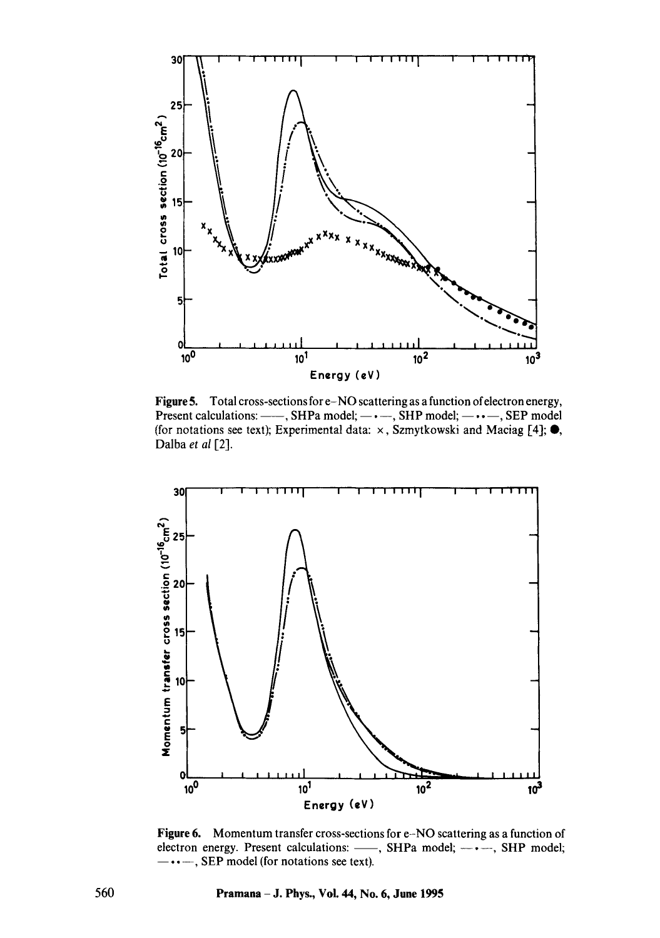

Figure 5. Total cross-sections for e-NO scattering as a function ofelectron energy, Present calculations:  $---$ , SHPa model;  $---$ , SHP model;  $---$ , SEP model (for notations see text); Experimental data:  $\times$ , Szmytkowski and Maciag [4];  $\bullet$ , Dalba *et al* [2].



Figure 6. Momentum transfer cross-sections for e-NO scattering as a function of electron energy. Present calculations: -, SHPa model; ----, SHP model;  $\cdots$ , SEP model (for notations see text).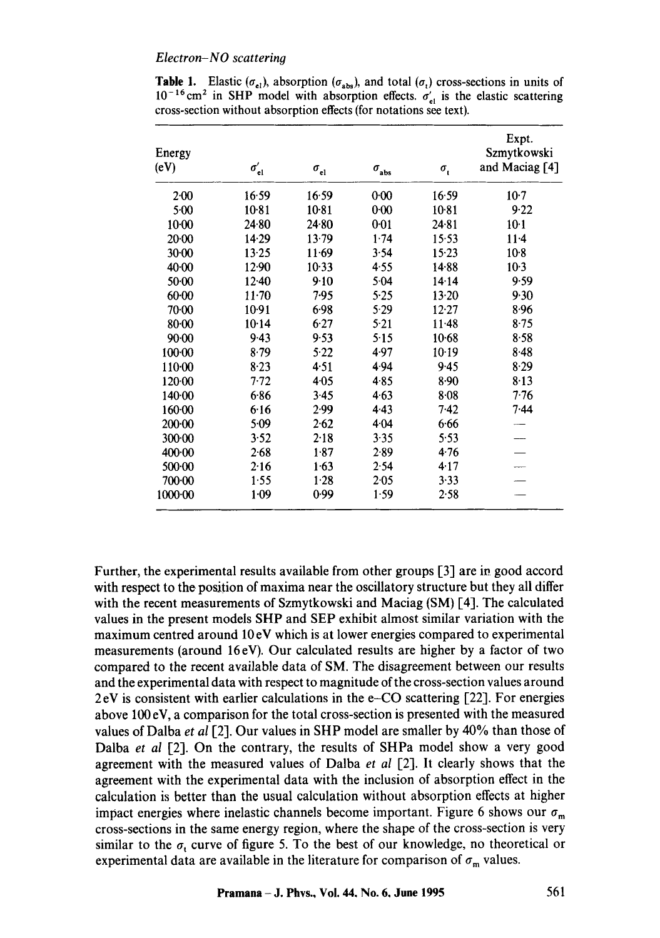#### *Electron-NO scattering*

| Energy<br>(eV) | $\sigma_{\rm el}'$ | $\sigma_{\rm el}$ | $\sigma_{\rm abs}$ | $\sigma_{\rm t}$ | Expt.<br>Szmytkowski<br>and Maciag [4] |
|----------------|--------------------|-------------------|--------------------|------------------|----------------------------------------|
| 2·00           | 16:59              | 16.59             | $0 - 00$           | 16.59            | $10-7$                                 |
| $5 - 00$       | 10.81              | $10-81$           | $0 - 00$           | 10.81            | 9.22                                   |
| $10-00$        | $24-80$            | 24.80             | 0.01               | 24.81            | $10-1$                                 |
| 20·00          | 14.29              | 13.79             | 1.74               | 15.53            | $11 - 4$                               |
| $30-00$        | 13.25              | 11.69             | 3.54               | $15 - 23$        | $10-8$                                 |
| $40 - 00$      | 12.90              | 10.33             | 4.55               | 14.88            | $10-3$                                 |
| 50.00          | $12-40$            | 9.10              | 5.04               | 14.14            | 9.59                                   |
| $60 - 00$      | $11-70$            | 7.95              | 5.25               | 13.20            | 9.30                                   |
| 70.00          | 10.91              | 6.98              | 5.29               | 12.27            | 8.96                                   |
| $80 - 00$      | 10.14              | 6.27              | 5.21               | 11.48            | $8 - 75$                               |
| 90.00          | 9.43               | 9.53              | 5.15               | $10-68$          | 8.58                                   |
| 100.00         | 8.79               | 5.22              | 4.97               | $10-19$          | 8.48                                   |
| 110.00         | 8.23               | 4.51              | 4.94               | 9.45             | 8.29                                   |
| 120.00         | 7.72               | 4.05              | 4.85               | 8.90             | 8.13                                   |
| 140.00         | 6.86               | 3.45              | 4.63               | 8.08             | 7.76                                   |
| 160.00         | 6.16               | 2.99              | 4.43               | 7.42             | $7-44$                                 |
| 200.00         | 5.09               | 2.62              | 4.04               | 6.66             |                                        |
| $300 - 00$     | 3.52               | 2.18              | 3.35               | 5.53             |                                        |
| 400.00         | $2 - 68$           | 1.87              | 2.89               | 4.76             |                                        |
| 500.00         | 2.16               | 1.63              | 2.54               | 4.17             |                                        |
| $700 - 00$     | 1.55               | 1.28              | $2 - 05$           | 3.33             |                                        |
| 1000.00        | $1 - 09$           | 0.99              | 1.59               | 2.58             |                                        |

**Table 1.** Elastic ( $\sigma_{el}$ ), absorption ( $\sigma_{abs}$ ), and total ( $\sigma_{el}$ ) cross-sections in units of  $10^{-16}$  cm<sup>2</sup> in SHP model with absorption effects.  $\sigma'_{el}$  is the elastic scattering cross-section without absorption effects (for notations see text).

Further, the experimental results available from other groups [3] are in good accord with respect to the position of maxima near the oscillatory structure but they all differ with the recent measurements of Szmytkowski and Maciag (SM) [4]. The calculated values in the present models SHP and SEP exhibit almost similar variation with the maximum centred around 10 eV which is at lower energies compared to experimental measurements (around 16eV). Our calculated results are higher by a factor of two compared to the recent available data of SM. The disagreement between our results and the experimental data with respect to magnitude of the cross-section values around 2 eV is consistent with earlier calculations in the e-CO scattering [22]. For energies above 100 eV, a comparison for the total cross-section is presented with the measured values of Dalba *et al* [2]. Our values in SHP model are smaller by 40% than those of Dalba *et al* [2]. On the contrary, the results of SHPa model show a very good agreement with the measured values of Dalba *et al* [2]. It clearly shows that the agreement with the experimental data with the inclusion of absorption effect in the calculation is better than the usual calculation without absorption effects at higher impact energies where inelastic channels become important. Figure 6 shows our  $\sigma_{\rm m}$ cross-sections in the same energy region, where the shape of the cross-section is very similar to the  $\sigma_t$  curve of figure 5. To the best of our knowledge, no theoretical or experimental data are available in the literature for comparison of  $\sigma_m$  values.